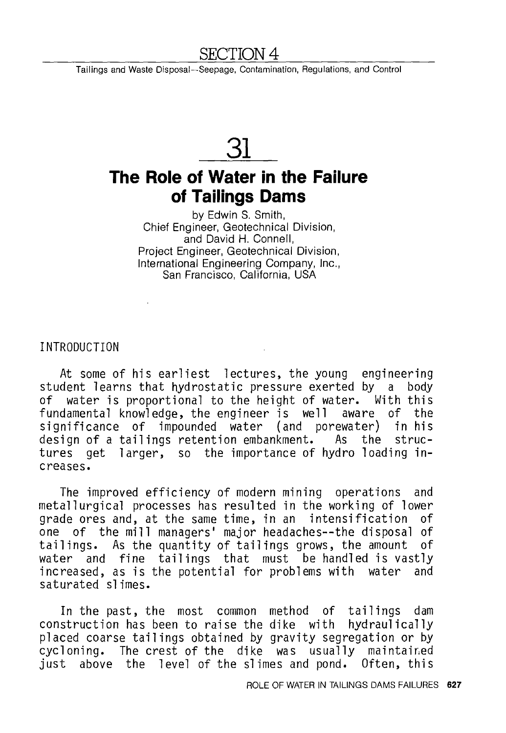### 'ION 4

Tailings and Waste Disposal-Seepage, Contamination, Regulations, and Control

# **31**

## **The Role of Water in the Failure of Tailings Dams**

by Edwin S. Smith, Chief Engineer, Geotechnical Division, and David H. Connell, Project Engineer, Geotechnical Division, International Engineering Company, Inc., San Francisco, California, USA

INTRODUCTION

At some of his earliest lectures, the young engineering student learns that hydrostatic pressure exerted by a body of water is proportional to the height of water. With this fundamental knowledge, the engineer is well aware of the significance of impounded water (and porewater) in his design of a tailings retention embankment. As the structures get larger, so the importance of hydro loading increases.

The improved efficiency of modern mining operations and metallurgical processes has resulted in the working of lower grade ores and, at the same time, in an intensification of one of the mill managers' major headaches--the disposal of tailings. As the quantity of tailings grows, the amount of water and fine tailings that must be handled is vastly<br>increased, as is the potential for problems with water and increased, as is the potential for problems with water saturated slimes.

In the past, the most common method of tailings dam construction has been to raise the dike with placed coarse tailings obtained by gravity segregation or by cycloning. The crest of the dike was usually maintair,ed just above the level of the slimes and pond.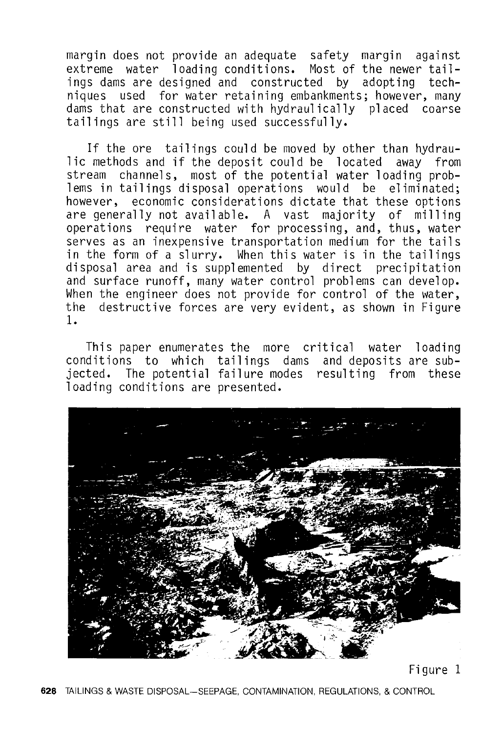margin does not provide an adequate safety margin against extreme water loading conditions. Most of the newer tailings dams are designed and constructed by adopting techniques used for water retaining embankments; however, many dams that are constructed with hydraulically placed coarse tailings are still being used successfully.

If the ore tailings could be moved by other than hydraulic methods and if the deposit could be located away from stream channels, most of the potential water loading problems in tailings disposal operations would be eliminated; however, economic considerations dictate that these options are generally not available. A vast majority of milling operations require water for processing, and, thus, water serves as an inexpensive transportation medium for the tails in the form of a slurry. When this water is in the tailings disposal area and is supplemented by direct precipitation and surface runoff, many water control problems can develop. When the engineer does not provide for control of the water, the destructive forces are very evident, as shown in Figure 1.

This paper enumerates the more critical water loading conditions to which tailings dams and deposits are subjected. The potential failure modes resulting from these loading conditions are presented.



Figure 1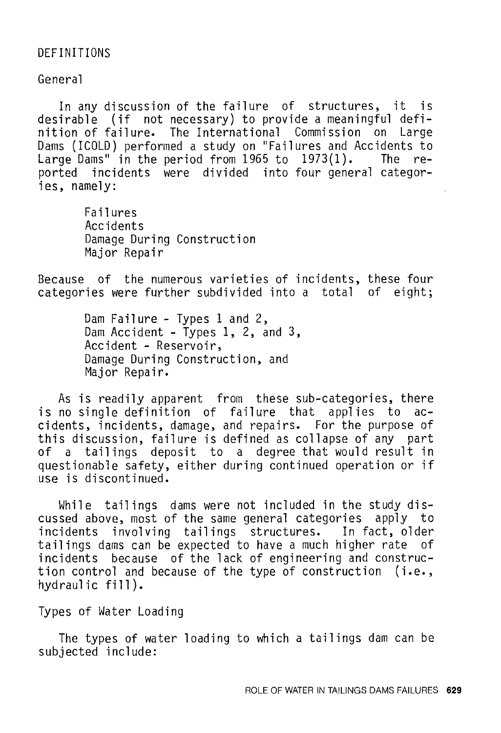#### DEFINITIONS

General

In any discussion of the failure of structures, it is desirable (if not necessary) to provide a meaningful definition of failure. The International Commission on Large Dams (ICOLD) performed a study on "Failures and Accidents to Large Dams" in the period from 1965 to 1973(1). The reported incidents were divided into four general categories, namely:

> Failures Accidents Damage During Construction Major Repair

Because of the numerous varieties of incidents, these four categories were further subdivided into a total of eight;

> Dam Failure - Types 1 and 2, Dam Accident - Types 1, 2, and 3, Accident - Reservoir, Damage During Construction, and Major Repair.

As is readily apparent from these sub-categories, there is no single definition of failure that applies to accidents, incidents, damage, and repairs. For the purpose of this discussion, failure is defined as collapse of any part of a tailings deposit to a degree that would result in questionable safety, either during continued operation or if use is discontinued.

While tailings dams were not included in the study discussed above, most of the same general categories apply to incidents involving tailings structures. In fact, older tailings dams can be expected to have a much higher rate of incidents because of the lack of engineering and construction control and because of the type of construction (i.e., hydraulic fill).

Types of Water Loading

The types of water loading to which a tailings dam can be subjected include: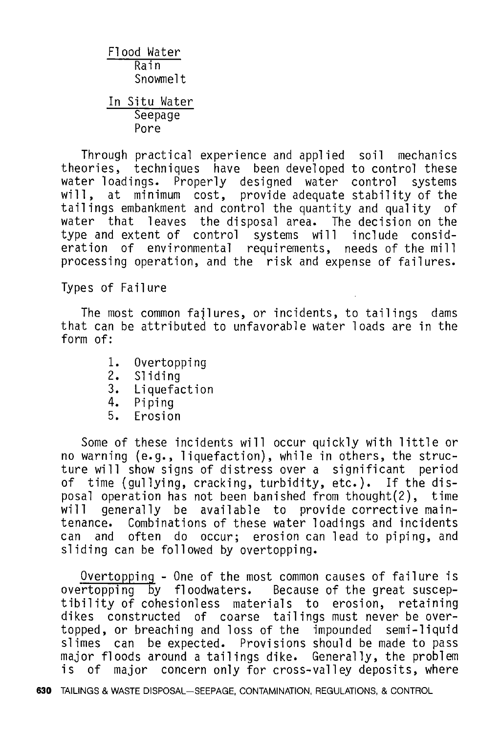Flood Water Rain Snowmelt In Situ Water Seepage Pore

Through practical experience and applied soil mechanics theories, techniques have been developed to control these water loadings. Properly designed water control will, at minimum cost, provide adequate stability of the tailings embankment and control the quantity and quality water that leaves the disposal area. The decision on the type and extent of control systems will include consideration of environmental requirements, needs of the mill processing operation, and the risk and expense of failures.

Types of Failure

The most common failures, or incidents, to tailings dams that can be attributed to unfavorable water loads are in the form of:

- 1. Overtopping<br>2. Sliding
- Sliding
- 3. Liquefaction
- 4. Piping<br>5. Frosio
- Erosion

Some of these incidents will occur quickly with little or no warning (e.g., liquefaction), while in others, the structure will show signs of distress over a significant period of time (gullying, cracking, turbidity, etc.). If the disposal operation has not been banished from thought(2), time generally be available to provide corrective maintenance. Combinations of these water loadings and incidents can and often do occur; erosion can lead to piping, and sliding can be followed by overtopping.

Overtopping - One of the most common causes of failure is overtopping by floodwaters. Because of the great susceptibility of cohesionless materials to erosion, retaining dikes constructed of coarse tailings must never be over-<br>topped, or breaching and loss of the impounded semi-liquid topped, or breaching and loss of the impounded slimes can be expected. Provisions should be made to pass is of major concern only for cross-valley deposits, where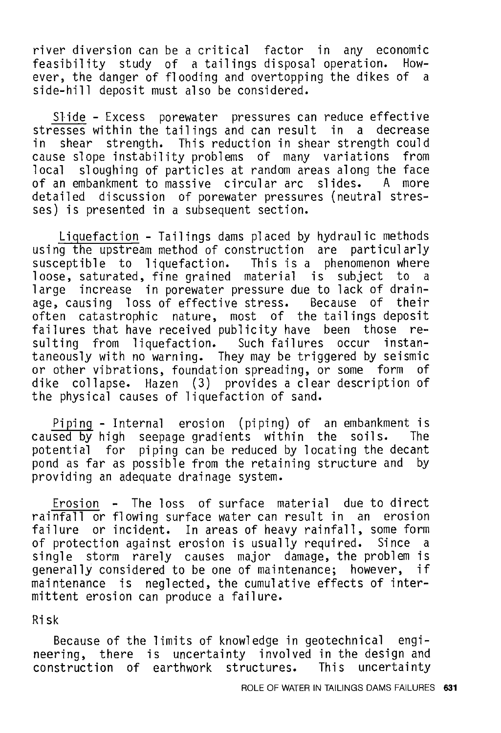river diversion can be a critical factor in any economic feasibility study of a tailings disposal operation. ever, the danger of flooding and overtopping the dikes of a side-hill deposit must also be considered.

Slide - Excess porewater pressures can reduce effective stresses within the tailings and can result in a decrease<br>in shear strength. This reduction in shear strength could shear strength. This reduction in shear strength could cause slope instability problems of many variations from<br>local sloughing of particles at random areas along the face sloughing of particles at random areas along the face<br>mbankment to massive circular arc slides. A more of an embankment to massive circular arc detailed discussion of porewater pressures (neutral stresses) is presented in a subsequent section.

Liquefaction - Tailings dams placed by hydraulic methods using the upstream method of construction are particularly susceptible to liquefaction. This is a phenomenon where loose, saturated, fine grained material is subject to a large increase in porewater pressure due to lack of drainage, causing loss of effective stress. Because of their often catastrophic nature, most of the tailings deposit failures that have received publicity have been those resulting from liquefaction. Such failures occur instantaneously with no warning. They may be triggered by seismic or other vibrations, foundation spreading, or some form of dike collapse. Hazen (3) provides a clear description of the physical causes of liquefaction of sand.

Piping - Internal erosion (piping) of an embankment is<br>sed by high seepage gradients within the soils. The caused by high seepage gradients within the soils. potential for piping can be reduced by locating the decant pond as far as possible from the retaining structure and by providing an adequate drainage system.

Erosion - The loss of surface material due to direct rainfall or flowing surface water can result in an erosion failure or incident. In areas of heavy rainfall, some form of protection against erosion is usually required. Since a single storm rarely causes major damage, the problem is generally considered to be one of maintenance; however, if maintenance is neglected, the cumulative effects of intermittent erosion can produce a failure.

#### Risk

Because of the limits of knowledge in geotechnical engineering, there is uncertainty involved in the design and<br>construction of earthwork structures. This uncertainty construction of earthwork structures. This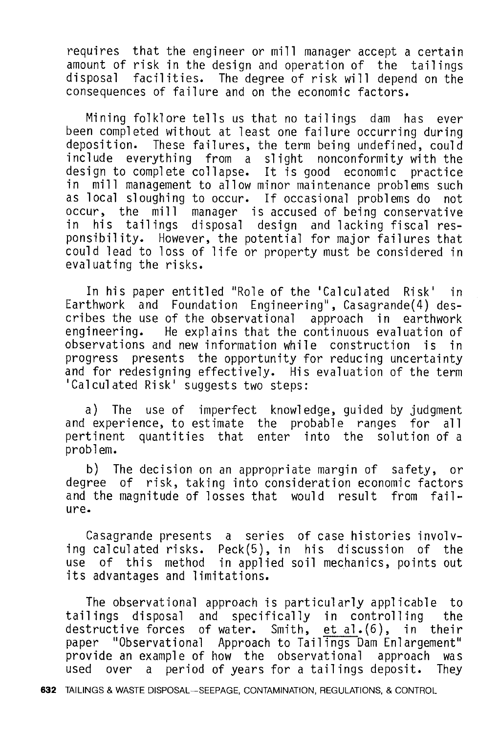requires that the engineer or mill manager accept a certain amount of risk in the design and operation of the tailings disposal facilities. The degree of risk will depend on the consequences of failure and on the economic factors.

Mining folklore tells us that no tailings dam has ever been completed without at least one failure occurring during deposition. These failures, the term being undefined, could include everything from a slight nonconformity with the design to complete collapse. It is good economic practice in mill management to allow minor maintenance problems such as local sloughing to occur. If occasional problems do not occur, the mill manager is accused of being conservative in his tailings disposal design and lacking fiscal responsibility. However, the potential for major failures that could lead to loss of life or property must be considered in evaluating the risks.

In his paper entitled "Role of the 'Calculated Risk' in Earthwork and Foundation Engineering", Casagrande(4) describes the use of the observational approach in earthwork engineering. He explains that the continuous evaluation of observations and new information while construction is in progress presents the opportunity for reducing uncertainty and for redesigning effectively. His evaluation of the term 'Calculated Risk' suggests two steps:

a) The use of imperfect knowledge, guided by judgment<br>experience, to estimate the probable ranges for all and experience, to estimate the probable ranges for<br>pertinent quantities that enter into the solution o enter into the solution of a problem.

b) The decision on an appropriate margin of safety, or degree of risk, taking into consideration economic factors<br>and the magnitude of losses that would result from failand the magnitude of losses that would result ure.

Casagrande presents a series of case histories involving calculated risks. Peck(5), in his discussion of the use of this method in applied soil mechanics, points out its advantages and limitations.

The observational approach is particularly applicable to tailings disposal and specifically in controlling the destructive forces of water. Smith, et al. (6), in their paper "Observational Approach to Tailings Dam Enlargement" provide an example of how the observational approach was<br>used over a period of years for a tailings deposit. They over a period of years for a tailings deposit.

632 TAILINGS & WASTE DISPOSAL-SEEPAGE, CONTAMINATION, REGULATIONS, & CONTROL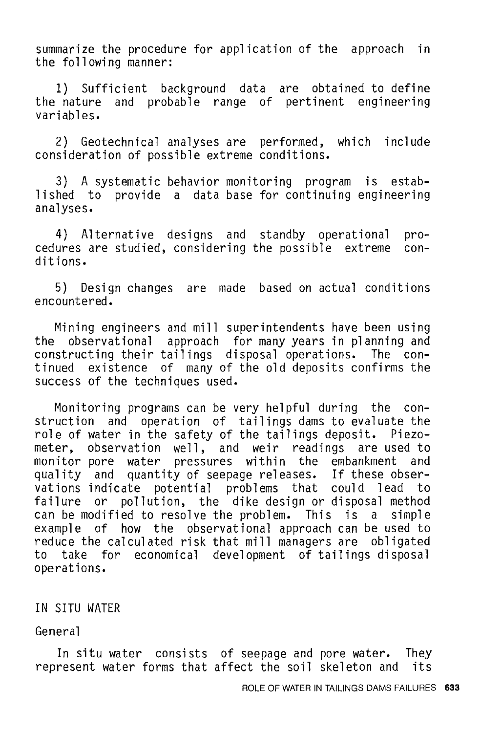summarize the procedure for application of the approach in the following manner:

1) Sufficient background data are obtained to define the nature and probable range of pertinent engineering variables.

2) Geotechnical analyses are performed, which include consideration of possible extreme conditions.

3) A systematic behavior monitoring program is established to provide a data base for continuing engineering analyses.

4) Alternative designs and standby operational procedures are studied, considering the possible extreme ditions.

5) Design changes are made based on actual conditions encountered.

Mining engineers and mill superintendents have been using the observational approach for many years in planning and constructing their tailings disposal operations. The continued existence of many of the old deposits confirms the success of the techniques used.

Monitoring programs can be very helpful during the construction and operation of tailings dams to evaluate the role of water in the safety of the tailings deposit. Piezometer, observation well, and weir readings are used to monitor pore water pressures within the embankment and monitor pore water pressures within the embankment quality and quantity of seepage releases. If these observations indicate potential problems that could lead to failure or pollution, the dike design or disposal method can be modified to resolve the problem. This is a simple example of how the observational approach can be used to reduce the calculated risk that mill managers are obligated reduce the calculated risk that mill managers are to take for economical development of tailings disposal operations.

#### IN SITU WATER

General

In situ water consists of seepage and pore water. They represent water forms that affect the soil skeleton and its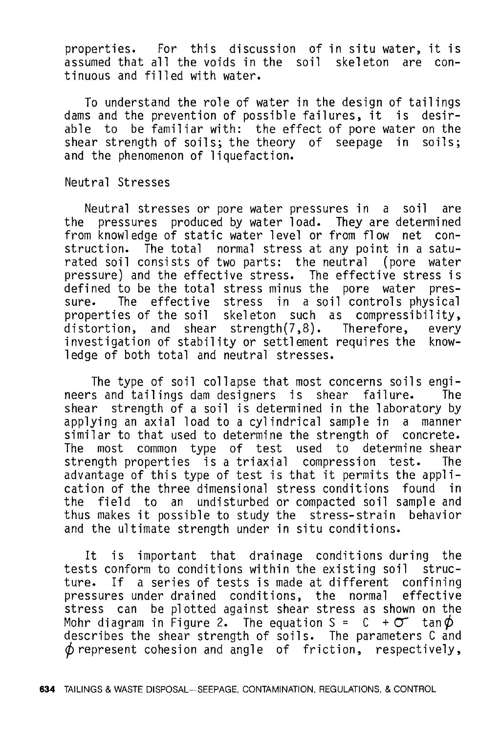properties. For this discussion of in situ water, it is assumed that all the voids in the soil skeleton are continuous and filled with water.

To understand the role of water in the design of tailings dams and the prevention of possible failures, it is desirable to be familiar with: the effect of pore water on the shear strength of soils: shear strength of soils; the theory of seepage in and the phenomenon of liquefaction.

#### Neutral Stresses

Neutral stresses or pore water pressures in a soil are the pressures produced by water load. They are determined from knowledge of static water level or from flow net con-<br>struction. The total normal stress at any point in a satu-The total normal stress at any point in a saturated soil consists of two parts: the neutral (pore water pressure) and the effective stress. The effective stress is<br>defined to be the total stress minus the pore water presdefined to be the total stress minus the pore water sure. The effective stress in a soil controls physical properties of the soil skeleton such as compressibility,<br>distortion, and shear strength(7.8). Therefore, every distortion, and shear strength $(7, 8)$ . investigation of stability or settlement requires the knowledge of both total and neutral stresses.

The type of soil collapse that most concerns soils engi-<br>s and tailings dam designers is shear failure. The neers and tailings dam designers is shear failure. shear strength of a soil is determined in the laboratory by applying an axial load to a cylindrical sample in a manner similar to that used to determine the strength of concrete.<br>The most common type of test used to determine shear most common type of test used to determine shear<br>noth properties is a triaxial compression test. The strength properties is a triaxial compression test. advantage of this type of test is that it permits the application of the three dimensional stress conditions found in the field to an undisturbed or compacted soil sample and thus makes it possible to study the stress-strain behavior thus makes it possible to study the stress-strain and the ultimate strength under in situ conditions.

It is important that drainage conditions during the tests conform to conditions within the existing soil struc-<br>ture. If a series of tests is made at different confining If a series of tests is made at different confining pressures under drained conditions, the normal effective stress can be plotted against shear stress as shown on the Mohr diagram in Figure 2. The equation  $S = C + \sigma$  tan  $\phi$ describes the shear strength of soils. The parameters C and  $\phi$  represent cohesion and angle of friction, respectively,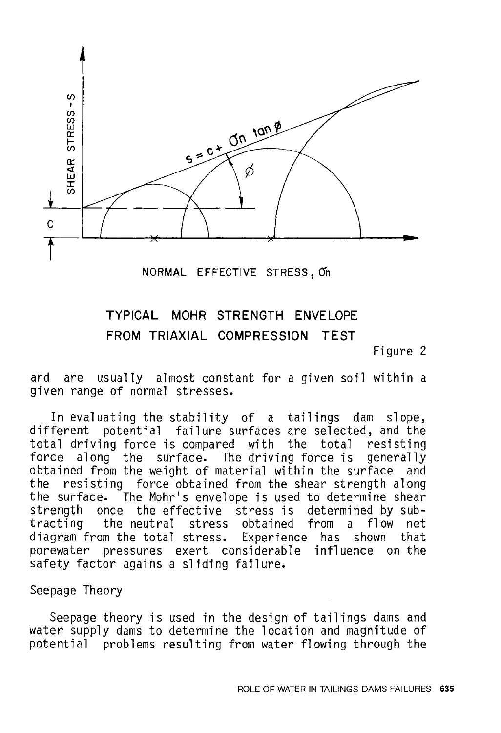

NORMAL EFFECTIVE STRESS, O'n

## TYPICAL MOHR STRENGTH ENVELOPE FROM TRIAXIAL COMPRESSION TEST

Figure 2

and are usually almost constant for a given soil within a given range of normal stresses.

In evaluating the stability of a tailings dam slope, different potential failure surfaces are selected, and the total driving force is compared with the total resisting force along the surface. The driving force is generally obtained from the weight of material within the surface and<br>the resisting force obtained from the shear strength along the resisting force obtained from the shear strength along the surface. The Mohr's envelope is used to determine shear strength once the effective stress is determined by subtracting the neutral stress obtained from a flow net diagram from the total stress. Experience has porewater pressures exert considerable influence on the safety factor agains a sliding failure.

#### Seepage Theory

Seepage theory is used in the design of tailings dams and water supply dams to determine the location and magnitude of potential problems resulting from water flowing through the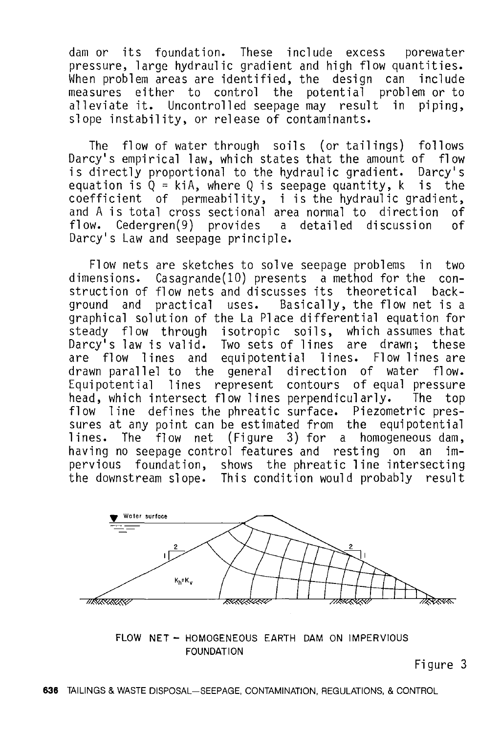dam or its foundation. These include excess porewater pressure, large hydraulic gradient and high flow quantities. When problem areas are identified, the design can include<br>measures either to control the potential problem or to either to control the potential problem or to alleviate it. Uncontrolled seepage may result in piping, slope instability, or release of contaminants.

The flow of water through soils (or tailings) follows Darcy's empirical law, which states that the amount of flow is directly proportional to the hydraulic gradient. Darcy's equation is  $Q = k iA$ , where Q is seepage quantity, k is the coefficient of permeability, i is the hydraulic gradient, and A is total cross sectional area normal to direction of<br>flow. Cedergren(9) provides a detailed discussion of flow. Cedergren $(9)$  provides a detailed discussion Darcy's Law and seepage principle.

Flow nets are sketches to solve seepage problems in two dimensions. Casagrande(lO) presents a method for the construction of flow nets and discusses its theoretical background and practical uses. Basically, the flow net is a graphical solution of the La Place differential equation for steady flow through isotropic soils, which assumes that Darcy's law is valid. Two sets of lines are drawn; these flow lines and equipotential lines. Flow lines are drawn parallel to the general direction of water flow. Equipotential lines represent contours of equal pressure head, which intersect flow lines perpendicularly. The top flow line defines the phreatic surface. Piezometric pressures at any point can be estimated from the equipotential lines. The flow net (Figure 3) for a homogeneous dam, having no seepage control features and resting on an impervious foundation, shows the phreatic line intersecting the downstream slope. This condition would probably result



FLOW NET - HOMOGENEOUS EARTH DAM ON IMPERVIOUS FOUNDATION

Figure 3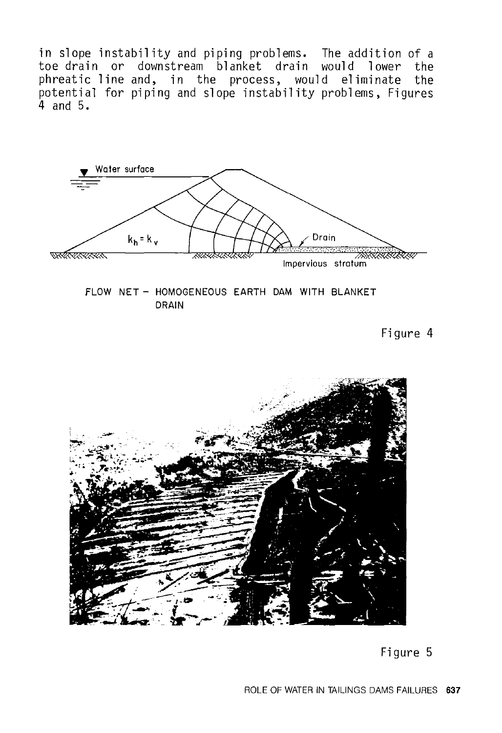in slope instability and piping problems. The addition of a toe drain or downstream blanket drain would lower the phreatic line and, in the process, would eliminate the potential for piping and slope instability problems, Figures 4 and 5.



FLOW NET - HOMOGENEOUS EARTH DAM WITH BLANKET DRAIN

Figure 4



Figure 5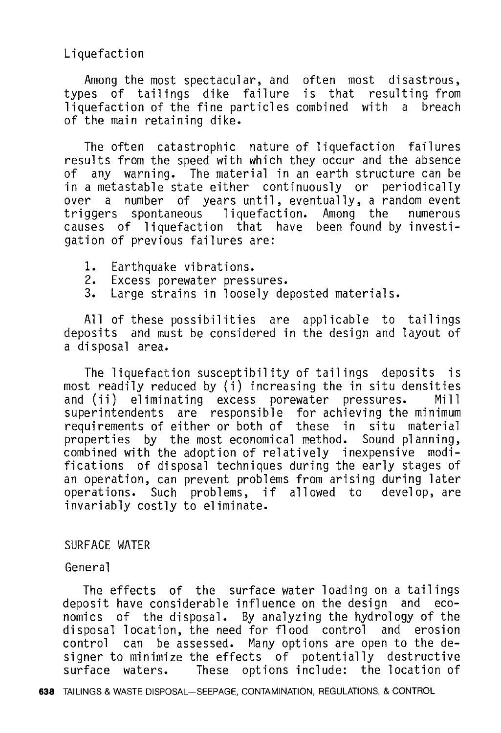Liquefaction

Among the most spectacular, and often most disastrous, types of tailings dike failure is that resulting from liquefaction of the fine particles combined with a breach of the main retaining dike.

The often catastrophic nature of liquefaction failures results from the speed with which they occur and the absence of any warning. The material in an earth structure can be in a metastable state either continuously or periodically<br>over a number of vears until, eventually, a random event a number of years until, eventually, a random event<br>ers spontaneous liquefaction. Among the numerous triggers spontaneous liquefaction. Among the causes of liquefaction that have been found by investigation of previous failures are:

- 1. Earthquake vibrations.<br>2. Excess porewater press
- 2. Excess porewater pressures.<br>3. Large strains in loosely de
- Large strains in loosely deposted materials.

All of these possibilities are applicable to tailings deposits and must be considered in the design and layout of a disposal area.

The liquefaction susceptibility of tailings deposits is most readily reduced by (i) increasing the in situ densities<br>and (ii) eliminating excess porewater pressures. Mill and (ii) eliminating excess porewater pressures. superintendents are responsible for achieving the minimum<br>requirements of either or both of these in situ material requirements of either or both of these in situ material<br>properties by the most economical method. Sound planning, combined with the adoption of relatively inexpensive modifications of disposal techniques during the early stages of an operation, can prevent problems from arising during later operations. Such problems, if allowed to develop, are invariably costly to eliminate.

#### SURFACE WATER

General

The effects of the surface water loading on a tailings<br>osit have considerable influence on the design and ecodeposit have considerable influence on the design nomics of the disposal. By analyzing the hydrology of the disposal location, the need for flood control and erosion control can be assessed. Many options are open to the designer to minimize the effects of potentially destructive<br>surface waters. These options include: the location of These options include: the location of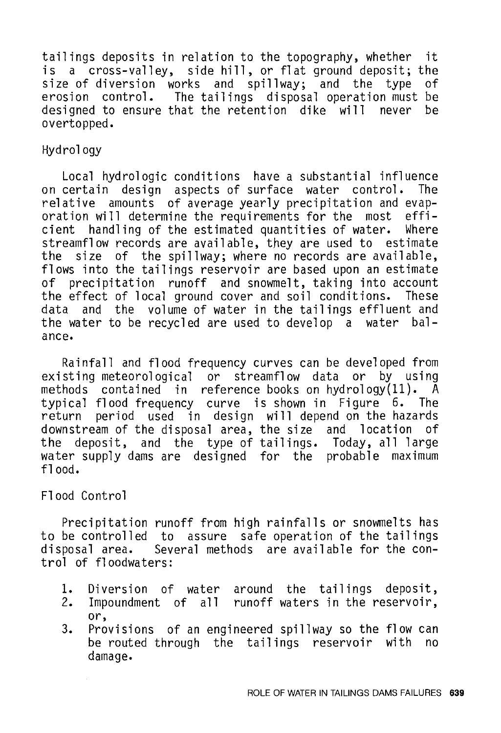tailings deposits in relation to the topography, whether it is a cross-valley, side hill, or flat ground deposit; the size of diversion works and spillway; and the type erosion control. The tailings disposal operation must be designed to ensure that the retention dike will never be designed to ensure that the retention dike will never overtopped.

#### Hydrology

Local hydrologic conditions have a substantial influence on certain design aspects of surface water control. relative amounts of average yearly precipitation and evaporation will determine the requirements for the most efficient handling of the estimated quantities of water. streamflow records are available, they are used to estimate<br>the size of the spillway: where no records are available. size of the spillway; where no records are available, flows into the tailings reservoir are based upon an estimate of precipitation runoff and snowmelt, taking into account the effect of local ground cover and soil conditions. These data and the volume of water in the tailings effluent and the water to be recycled are used to develop a water balance.

Rainfall and flood frequency curves can be developed from<br>existing meteorological or streamflow data or by using methods contained in reference books on hydrology $(11)$ . A typical flood frequency curve is shown in Figure 6. The<br>return period used in design will depend on the hazards period used in design will depend on the hazards downstream of the disposal area, the size and location of the deposit, and the type of tailings. Today, all large water supply dams are designed for the probable maximum flood.

#### Flood Control

Precipitation runoff from high rainfalls or snowmelts has to be controlled to assure safe operation of the tailings<br>disposal area. Several methods are available for the con-Several methods are available for the control of floodwaters:

- 1. Diversion of water around the tailings deposit,
- 2. Impoundment of all runoff waters in the reservoir, or,
- 3. Provisions of an engineered spillway so the flow can be routed through the tailings reservoir with no damage.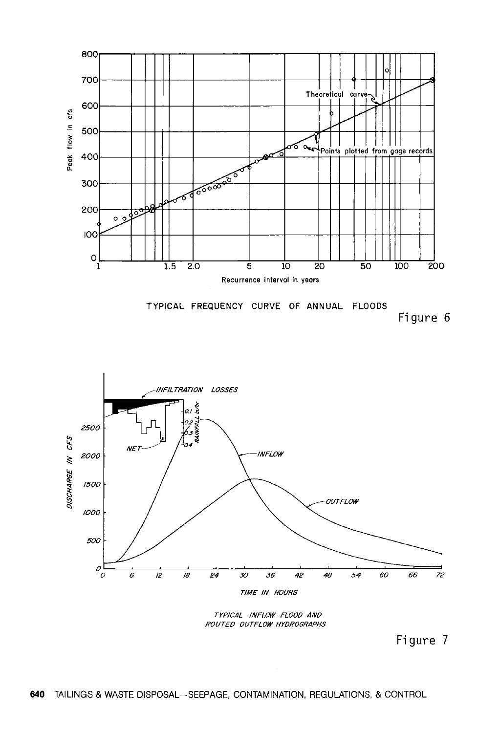





TYPICAL INFLOW FLOOD AND ROUTED OUTFLOW HYOROGRAPHS

Figure 7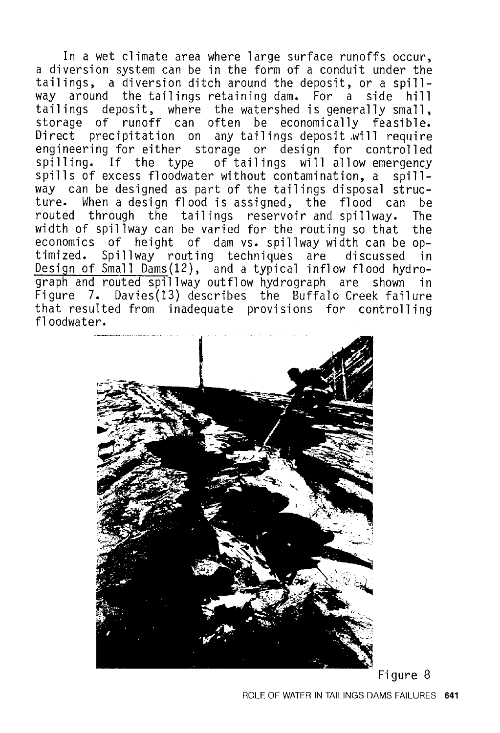In a wet climate area where large surface runoffs occur. a diversion system can be in the form of a conduit under the tailings, a diversion ditch around the deposit, or a spillaround the tailings retaining dam. For a side hill tailings deposit, where the watershed is generally small, storage of runoff can often be economically feasible. Direct precipitation on any tailings deposit .will require engineering for either storage or design for controlled spilling. If the type of tailings will allow emergency spills of excess floodwater without contamination, a spillway can be designed as part of the tailings disposal structure. When a design flood is assigned, the flood can be routed through the tailings reservoir and spillway. width of spillway can be varied for the routing so that the economics of height of dam vs. spillway width can be optimized. Spillway routing techniques are discussed in Design of Small Dams(12), and a typical inflow flood hydrograph and routed spillway outflow hydrograph are shown in Figure 7. Davies(13) describes the Buffalo Creek failure that resulted from inadequate provisions for controlling floodwater.



Figure 8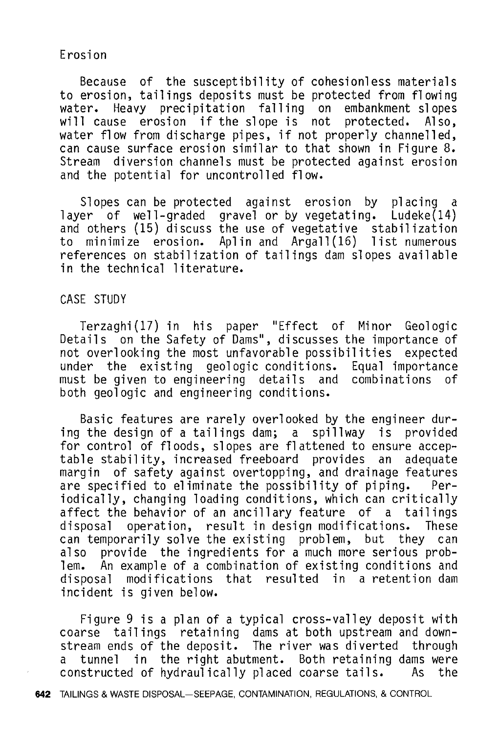#### Erosion

Because of the susceptibility of cohesionless materials to erosion, tailings deposits must be protected from flowing water. Heavy precipitation falling on embankment slopes<br>will cause erosion if the slope is not protected. Also. will cause erosion if the slope is not water flow from discharge pipes, if not properly channelled, can cause surface erosion similar to that shown in Figure 8. Stream diversion channels must be protected against erosion and the potential for uncontrolled flow.

Slopes can be protected against erosion by placing a layer of well-graded gravel or by vegetating. Ludeke(14) and others (15) discuss the use of vegetative stabilization to minimize erosion. Aplin and Argall(16) list numerous references on stabilization of tailings dam slopes available in the technical literature.

#### CASE STUDY

Terzaghi(17) in his paper "Effect of Minor Geologic Details on the Safety of Dams", discusses the importance of not overlooking the most unfavorable possibilities expected under the existing geologic conditions. must be given to engineering details and combinations of both geologic and engineering conditions.

Basic features are rarely overlooked by the engineer during the design of a tailings dam; a spillway is provided for control of floods, slopes are flattened to ensure acceptable stability, increased freeboard provides an adequate margin of safety against overtopping, and drainage features are specified to eliminate the possibility of piping. iodically, changing loading conditions, which can critically affect the behavior of an ancillary feature of a tailings disposal operation, result in design modifications. These can temporarily solve the existing problem, but they can<br>also provide the ingredients for a much more serious probprovide the ingredients for a much more serious problem. An example of a combination of existing conditions and modifications that resulted in a retention dam incident is given below.

Figure 9 is a plan of a typical cross-valley deposit with coarse tailings retaining dams at both upstream and downstream ends of the deposit. The river was diverted through<br>a tunnel in the right abutment. Both retaining dams were a tunnel in the right abutment. Both retaining dams were<br>constructed of hydraulically placed coarse tails. As the constructed of hydraulically placed coarse tails.

642 TAILINGS & WASTE DISPOSAL-SEEPAGE, CONTAMINATION, REGULATIONS, & CONTROL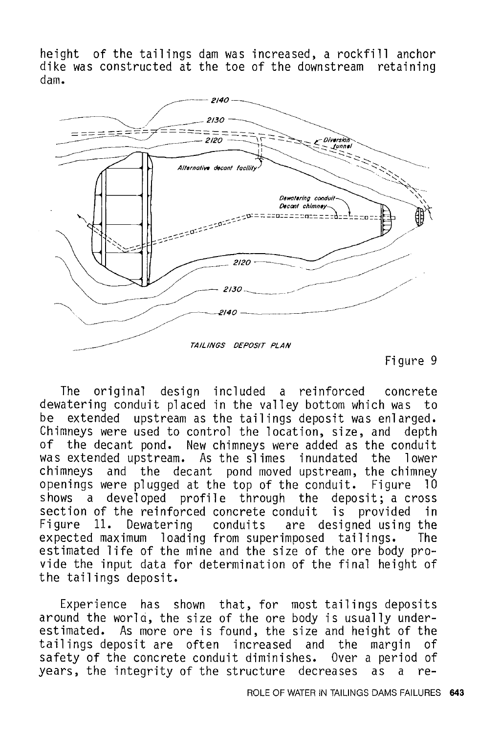height of the tailings dam was increased, a rockfill anchor dike was constructed at the toe of the downstream retaining dam.



Figure 9

The original design included a reinforced concrete dewatering conduit placed in the valley bottom which was to<br>be extended upstream as the tailings deposit was enlarged. extended upstream as the tailings deposit was enlarged. Chimneys were used to control the location, size, and depth of the decant pond. New chimneys were added as the conduit was extended upstream. As the slimes inundated the lower chimneys and the decant pond moved upstream, the chimney openings were plugged at the top of the conduit. Figure 10 shows a developed profile through the deposit; a cross<br>section of the reinforced concrete conduit is provided in section of the reinforced concrete conduit is provided in<br>Figure 11. Dewatering conduits are designed using the Figure 11. Dewatering conduits are designed using the expected maximum loading from superimposed tailings. The expected maximum loading from superimposed tailings. estimated life of the mine and the size of the ore body provide the input data for determination of the final height of the tailings deposit.

Experience has shown that, for most tailings deposits around the world, the size of the ore body is usually underestimated. As more ore is found, the size and height of the tailings deposit are often increased and the margin of tailings deposit are often increased and the safety of the concrete conduit diminishes. Over a period of years, the integrity of the structure decreases as a re-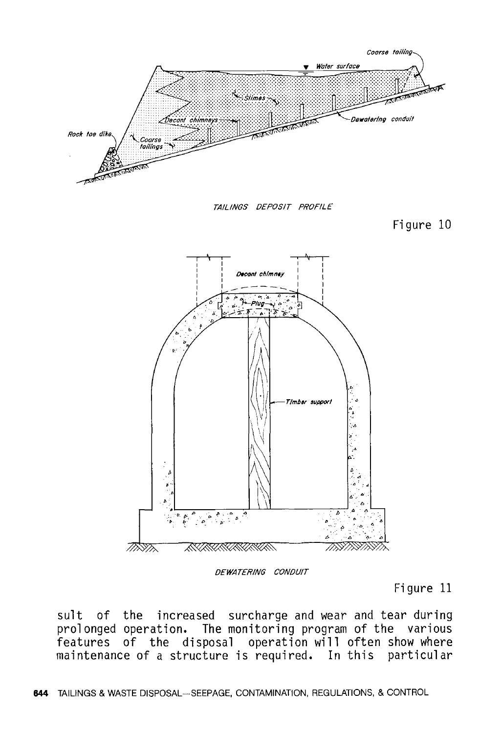

DEWATER/NG CONDUIT

Figure 11

sult of the increased surcharge and wear and tear during prolonged operation. The monitoring program of the various features of the disposal operation will often show where maintenance of a structure is required. In this particular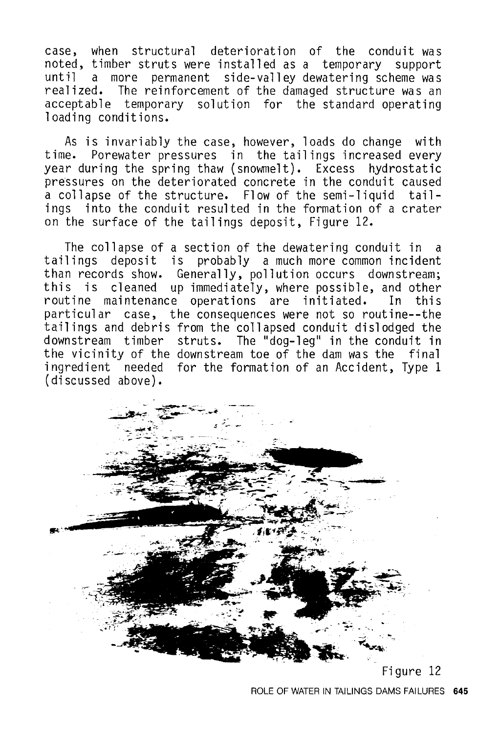case, when structural deterioration of the conduit was noted, timber struts were installed as a temporary support until a more permanent side-valley dewatering scheme was realized. The reinforcement of the damaged structure was an acceptable temporary solution for the standard operating loading conditions.

As is invariably the case, however, loads do change with time. Porewater pressures in the tailings increased every year during the spring thaw (snowmelt). Excess hydrostatic pressures on the deteriorated concrete in the conduit caused a collapse of the structure. Flow of the semi-liquid tailings into the conduit resulted in the formation of a crater on the surface of the tailings deposit, Figure 12.

The collapse of a section of the dewatering conduit in a tailings deposit is probably a much more common incident than records show. Generally, pollution occurs downstream; this is cleaned up immediately, where possible, and other routine maintenance operations are initiated. particular case, the consequences were not so routine--the tailings and debris from the collapsed conduit dislodged the downstream timber struts. The "dog-leg" in the conduit **in**  the vicinity of the downstream toe of the dam was the final ingredient needed for the formation of an Accident, Type **1**  (discussed above).

![](_page_18_Picture_3.jpeg)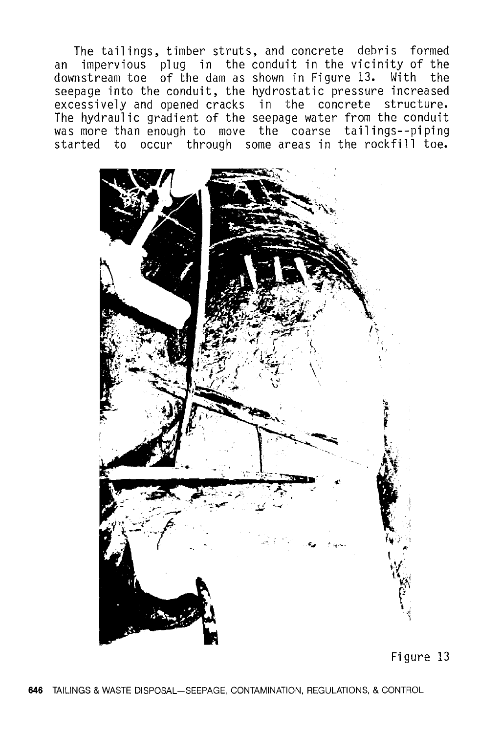The tailings, timber struts, and concrete debris formed<br>an impervious plug in the conduit in the vicinity of the impervious plug in the conduit in the vicinity of the downstream toe of the dam as shown in Figure 13. With the seepage into the conduit, the hydrostatic pressure increased excessively and opened cracks in the concrete structure. The hydraulic gradient of the seepage water from the conduit was more than enough to move the coarse tailings--piping started to occur through some areas in the rockfill toe.

![](_page_19_Picture_1.jpeg)

Figure 13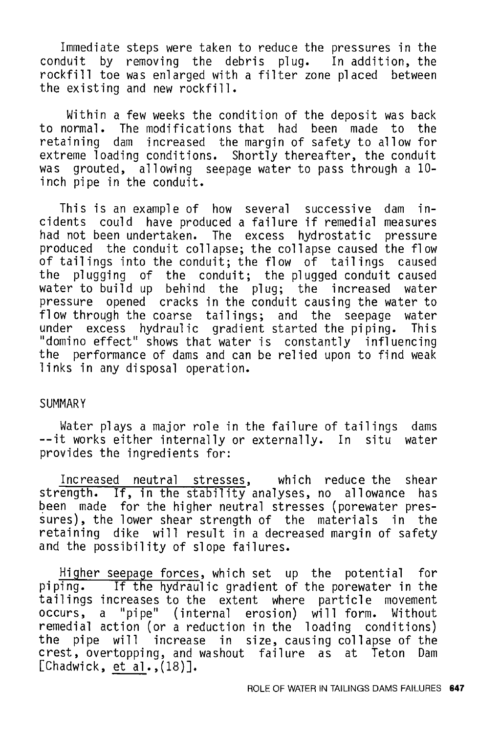Immediate steps were taken to reduce the pressures in the conduit by removing the debris plug. In addition, the rockfill toe was enlarged with a filter zone placed between the existing and new rockfill.

Within a few weeks the condition of the deposit was back to normal. The modifications that had been made to the retaining dam increased the margin of safety to allow for extreme loading conditions. Shortly thereafter, the conduit<br>was grouted, allowing, seepage water to pass through a 10grouted, allowing seepage water to pass through a 10inch pipe in the conduit.

This is an example of how several successive dam incidents could have produced a failure if remedial measures had not been undertaken. The excess hydrostatic pressure produced the conduit collapse; the collapse caused the flow of tailings into the conduit; the flow of tailings caused the plugging of the conduit; the plugged conduit caused water to build up behind the plug; the increased water pressure opened cracks in the conduit causing the water to flow through the coarse tailings; and the seepage water under excess hydraulic gradient started the piping. This "domino effect" shows that water is constantly influencing the performance of dams and can be relied upon to find weak links in any disposal operation.

#### SUMMARY

Water plays a major role in the failure of tailings dams --it works either internally or externally. In situ water provides the ingredients for:

Increased neutral stresses, which reduce the shear strength. If, in the stability analyses, no allowance has been made for the higher neutral stresses (porewater pressures), the lower shear strength of the materials in the retaining dike will result in a decreased margin of safety and the possibility of slope failures.

Higher seepage forces, which set up the potential for piping. If the hydraulic gradient of the porewater in the tailings increases to the extent where particle movement occurs, a "pipe" (internal erosion) will form. Without remedial action (or a reduction in the loading conditions) the pipe will increase in size, causing collapse of the crest, overtopping, and washout failure as at Teton Dam [Chadwick, et al.,(18)].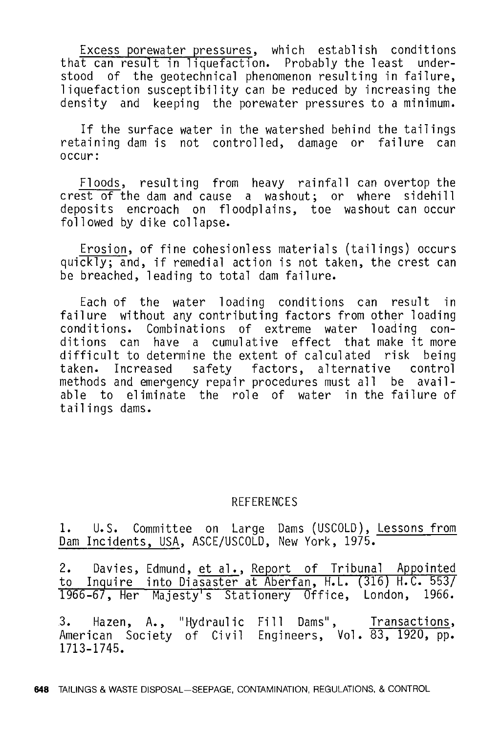Excess porewater pressures, which establish conditions that can result in liquefaction. Probably the least understood of the geotechnical phenomenon resulting in failure, liquefaction susceptibility can be reduced by increasing the density and keeping the porewater pressures to a minimum.

If the surface water in the watershed behind the tailings retaining dam is not controlled, damage or failure can occur:

Floods, resulting from heavy rainfall can overtop the crest of the dam and cause a washout; or where sidehill deposits encroach on floodplains, toe washout can occur followed by dike collapse.

Erosion, of fine cohesionless materials (tailings) occurs quickly; and, if remedial action is not taken, the crest can be breached, leading to total dam failure.

Each of the water loading conditions can result in failure without any contributing factors from other loading conditions. Combinations of extreme water loading conditions can have a cumulative effect that make it more difficult to determine the extent of calculated risk being taken. Increased safety factors, alternative control methods and emergency repair procedures must all be available to eliminate the role of water in the failure of tailings dams.

#### REFERENCES

1. U.S. Committee on Large Dams (USCOLD), Lessons from Dam Incidents, USA, ASCE/USCOLD, New York, 1975.

2. Davies, Edmund, et al., Report of Tribunal Appointed to Inquire into Diasaster at Aberfan, H.L. (316) H.C. 5537 1966-67, Her Majesty's Stationery Office, London, 1966.

3. Hazen, A., "Hydraulic American Society of Civil 1713-1745. Fill Dams", Transactions, Engineers, Vol. 83, 1920, pp.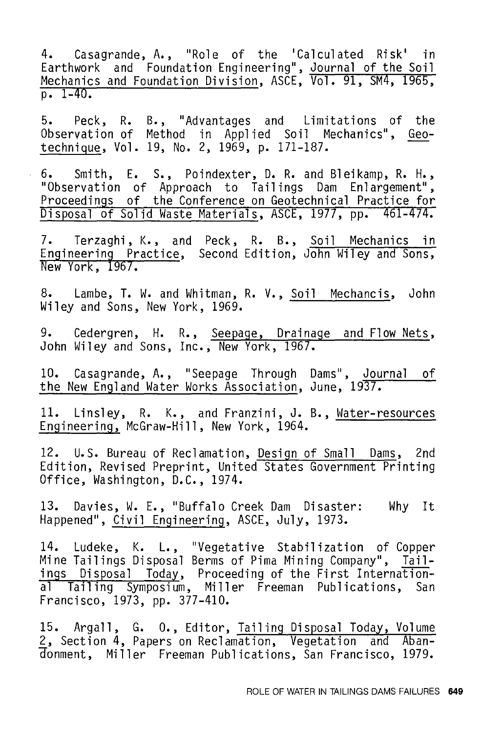4. Casagrande, A., "Role of the 'Calculated Risk' in Earthwork and Foundation Engineering", Journal of the Soil Mechanics and Foundation Division, ASCE, Vol. 91, SM4, 1965,  $p. 1-40.$ 

5. Peck, R. B., "Advantages and Limitations of the Observation of Method in Applied Soil Mechanics", Geotechnigue, Vol. 19, No. 2, 1969, p. 171-187.

6. Smith, E. S., Poindexter, D.R. and Bleikamp, R.H., "Observation of Approach to Tailings Dam Enlargement", Proceedings of the Conference on Geotechnical Practice for Disposal of Solid Waste Materials, ASCE, 1977, pp. 461-474.

7. Terzaghi, K., and Peck, R. B., <u>Soil Mechanics in</u> Engineering Practice, Second Edition, John Wiley and Sons, New York, 1967.

8. Lambe, T. w. and Whitman, R. V., Soil Mechancis, John Wiley and Sons, New York, 1969.

9. Cedergren, H. R., Seepage, Drainage and Flow Nets, John Wiley and Sons, Inc., New York, 1967.

10. Casagrande, A., "Seepage Through Dams", Journal of the New England Water Works Association, June, 1937.

11. Linsley, R. K., and Franzini, J. B., Water-resources Engineering, McGraw-Hill, New York, 1964.

12. U.S. Bureau of Reclamation, Design of Small Dams, 2nd Edition, Revised Preprint, United States Government Printing Office, Washington, D.C., 1974.

13. Davies, W. E., "Buffalo Creek Dam Disaster: Why It Happened", Civil Engineering, ASCE, July, 1973.

14. Ludeke, K. L., "Vegetative Stabilization of Copper Mine Tailings Disposal Berms of Pima Mining Company", Tailings Disposal Today, Proceeding of the First International Tailing Symposium, Miller Freeman Publications, San Francisco, 1973, pp. 377-410.

15. Argall, G. 0., Editor, Tailing Disposal Today, Volume 2, Section 4, Papers on Reclamation, Vegetation and Abandonment, Miller Freeman Publications, San Francisco, 1979.